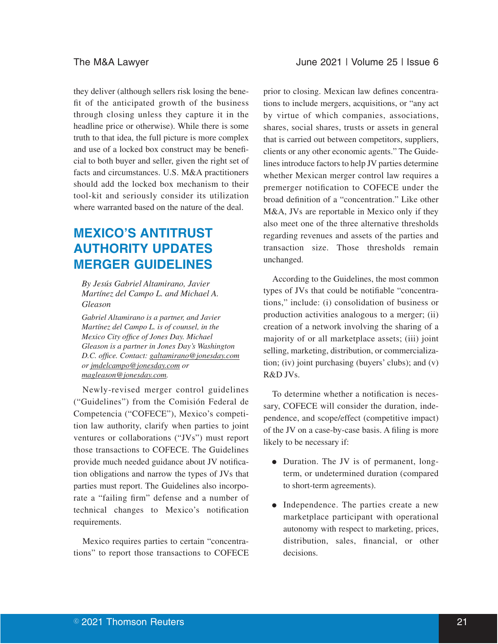they deliver (although sellers risk losing the benefit of the anticipated growth of the business through closing unless they capture it in the headline price or otherwise). While there is some truth to that idea, the full picture is more complex and use of a locked box construct may be beneficial to both buyer and seller, given the right set of facts and circumstances. U.S. M&A practitioners should add the locked box mechanism to their tool-kit and seriously consider its utilization where warranted based on the nature of the deal.

# **MEXICO'S ANTITRUST AUTHORITY UPDATES MERGER GUIDELINES**

*By Jesús Gabriel Altamirano, Javier Martínez del Campo L. and Michael A. Gleason*

*Gabriel Altamirano is a partner, and Javier Martínez del Campo L. is of counsel, in the Mexico City office of Jones Day. Michael Gleason is a partner in Jones Day's Washington D.C. office. Contact: galtamirano@jonesday.com or jmdelcampo@jonesday.com or magleason@jonesday.com.*

Newly-revised merger control guidelines ("Guidelines") from the Comisión Federal de Competencia ("COFECE"), Mexico's competition law authority, clarify when parties to joint ventures or collaborations ("JVs") must report those transactions to COFECE. The Guidelines provide much needed guidance about JV notification obligations and narrow the types of JVs that parties must report. The Guidelines also incorporate a "failing firm" defense and a number of technical changes to Mexico's notification requirements.

Mexico requires parties to certain "concentrations" to report those transactions to COFECE

prior to closing. Mexican law defines concentrations to include mergers, acquisitions, or "any act by virtue of which companies, associations, shares, social shares, trusts or assets in general that is carried out between competitors, suppliers, clients or any other economic agents." The Guidelines introduce factors to help JV parties determine whether Mexican merger control law requires a premerger notification to COFECE under the broad definition of a "concentration." Like other M&A, JVs are reportable in Mexico only if they also meet one of the three alternative thresholds regarding revenues and assets of the parties and transaction size. Those thresholds remain unchanged.

According to the Guidelines, the most common types of JVs that could be notifiable "concentrations," include: (i) consolidation of business or production activities analogous to a merger; (ii) creation of a network involving the sharing of a majority of or all marketplace assets; (iii) joint selling, marketing, distribution, or commercialization; (iv) joint purchasing (buyers' clubs); and (v)  $R\&D$  *IVs.* 

To determine whether a notification is necessary, COFECE will consider the duration, independence, and scope/effect (competitive impact) of the JV on a case-by-case basis. A filing is more likely to be necessary if:

- Duration. The JV is of permanent, longterm, or undetermined duration (compared to short-term agreements).
- Independence. The parties create a new marketplace participant with operational autonomy with respect to marketing, prices, distribution, sales, financial, or other decisions.